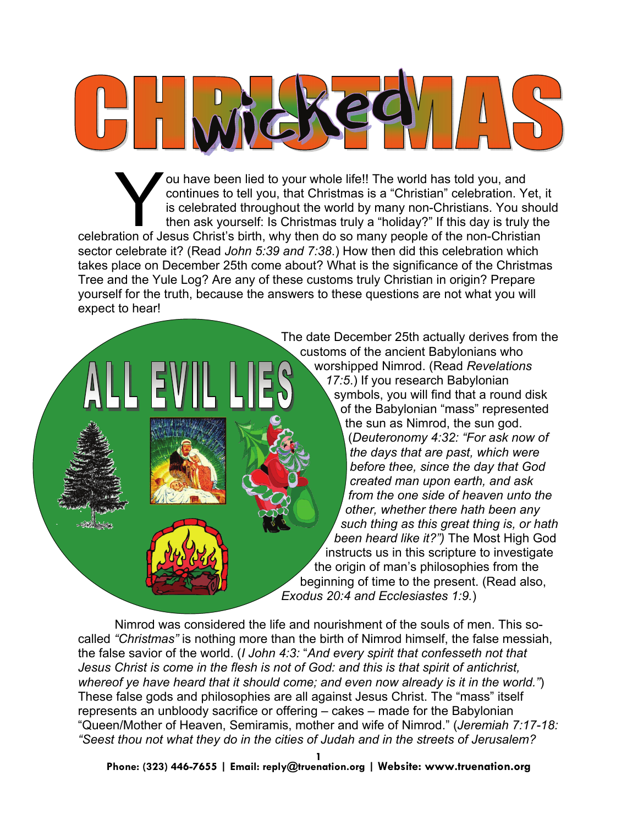

You have been lied to your whole life!! The world has told you, and continues to tell you, that Christmas is a "Christian" celebration. Yet, is celebrated throughout the world by many non-Christians. You should then ask yo continues to tell you, that Christmas is a "Christian" celebration. Yet, it is celebrated throughout the world by many non-Christians. You should then ask yourself: Is Christmas truly a "holiday?" If this day is truly the sector celebrate it? (Read *John 5:39 and 7:38*.) How then did this celebration which takes place on December 25th come about? What is the significance of the Christmas Tree and the Yule Log? Are any of these customs truly Christian in origin? Prepare yourself for the truth, because the answers to these questions are not what you will expect to hear!



The date December 25th actually derives from the customs of the ancient Babylonians who worshipped Nimrod. (Read *Revelations 17:5*.) If you research Babylonian symbols, you will find that a round disk of the Babylonian "mass" represented the sun as Nimrod, the sun god. (*Deuteronomy 4:32: "For ask now of the days that are past, which were before thee, since the day that God created man upon earth, and ask from the one side of heaven unto the other, whether there hath been any such thing as this great thing is, or hath been heard like it?")* The Most High God instructs us in this scripture to investigate the origin of man's philosophies from the beginning of time to the present. (Read also, *Exodus 20:4 and Ecclesiastes 1:9.*)

Nimrod was considered the life and nourishment of the souls of men. This socalled *"Christmas"* is nothing more than the birth of Nimrod himself, the false messiah, the false savior of the world. (*I John 4:3:* "*And every spirit that confesseth not that Jesus Christ is come in the flesh is not of God: and this is that spirit of antichrist, whereof ye have heard that it should come; and even now already is it in the world."*) These false gods and philosophies are all against Jesus Christ. The "mass" itself represents an unbloody sacrifice or offering – cakes – made for the Babylonian "Queen/Mother of Heaven, Semiramis, mother and wife of Nimrod." (*Jeremiah 7:17-18: "Seest thou not what they do in the cities of Judah and in the streets of Jerusalem?* 

**Phone: (323) 446-7655 | Email: reply@truenation.org | Website: www.truenation.org** 

**1**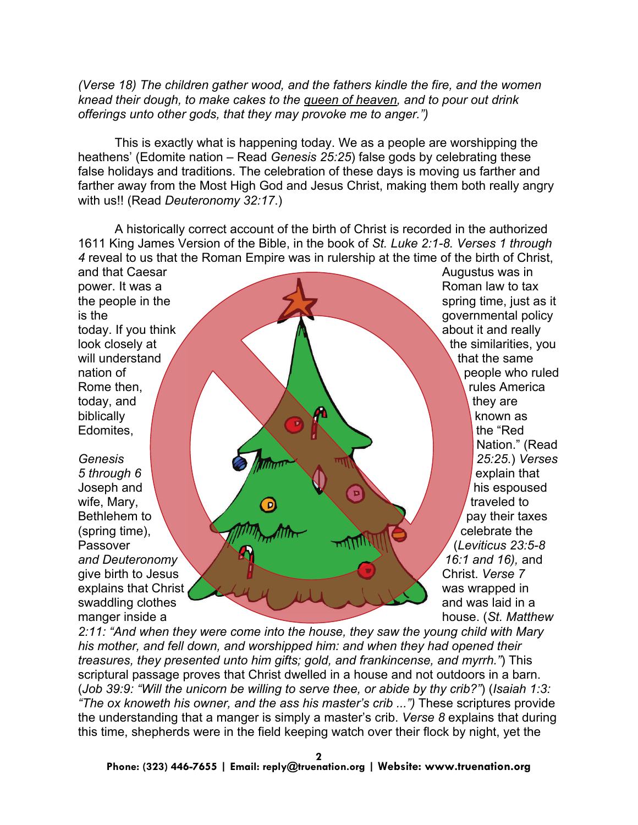*(Verse 18) The children gather wood, and the fathers kindle the fire, and the women knead their dough, to make cakes to the queen of heaven, and to pour out drink offerings unto other gods, that they may provoke me to anger.")*

This is exactly what is happening today. We as a people are worshipping the heathens' (Edomite nation – Read *Genesis 25:25*) false gods by celebrating these false holidays and traditions. The celebration of these days is moving us farther and farther away from the Most High God and Jesus Christ, making them both really angry with us!! (Read *Deuteronomy 32:17*.)

A historically correct account of the birth of Christ is recorded in the authorized 1611 King James Version of the Bible, in the book of *St. Luke 2:1-8. Verses 1 through 4* reveal to us that the Roman Empire was in rulership at the time of the birth of Christ, and that Caesar **Augustus was in** Augustus was in

power. It was a Roman law to tax will understand  $\overline{a}$  that the same today, and  $\sqrt{2}$  they are biblically  $\sqrt{2}$   $\sqrt{2}$  known as Edomites, **the "Reduction of the "Reduction"** and the "Reduction" and the "Reduction" and the "Reduction" and the "Reduction" and the "Reduction" and the "Reduction" and the "Reduction" and the "Reduction" and the "Reducti

*5 through 6* explain that **6** explain that wife, Mary,  $\bigcirc$   $\bigcirc$   $\bigcirc$   $\bigcirc$   $\bigcirc$   $\bigcirc$  traveled to (spring time),  $\sqrt{m}$   $\sqrt{m}$   $\sqrt{m}$   $\sqrt{m}$   $\sqrt{m}$  celebrate the Passover **We arithmetic and the Contract of Cleviticus 23:5-8** *and Deuteronomy 16:1 and 16),* and give birth to Jesus Christ. *Verse 7* explains that Christ was wrapped in swaddling clothes and was laid in a manger inside a house. (*St. Matthew* 

the people in the spring time, just as it  $\blacksquare$  is the governmental policy today. If you think the state of the state of the state of the state of the state of the state of the state of the state of the state of the state of the state of the state of the state of the state of the state of the sta look closely at  $\left\{\begin{array}{ccc} \end{array}\right\}$  the similarities, you nation of people who ruled Rome then, **Rome then, America** and America and America and America and America and America and America and America Nation." (Read *Genesis 25:25*.) *Verses*  Joseph and **his espoused** and  $\sim$  **1** and  $\sim$  **1** and  $\sim$  **1** and  $\sim$  **1** and  $\sim$  **1** and  $\sim$  **1** and  $\sim$  **1** and  $\sim$  **1** and  $\sim$  **1** and  $\sim$  **1** and  $\sim$  **1** and  $\sim$  **1** and  $\sim$  **1** and  $\sim$  **1** and  $\sim$  **1** a Bethlehem to  $\sqrt{ }$  pay their taxes

*2:11: "And when they were come into the house, they saw the young child with Mary his mother, and fell down, and worshipped him: and when they had opened their treasures, they presented unto him gifts; gold, and frankincense, and myrrh."*) This scriptural passage proves that Christ dwelled in a house and not outdoors in a barn. (*Job 39:9: "Will the unicorn be willing to serve thee, or abide by thy crib?"*) (*Isaiah 1:3: "The ox knoweth his owner, and the ass his master's crib ...")* These scriptures provide the understanding that a manger is simply a master's crib. *Verse 8* explains that during this time, shepherds were in the field keeping watch over their flock by night, yet the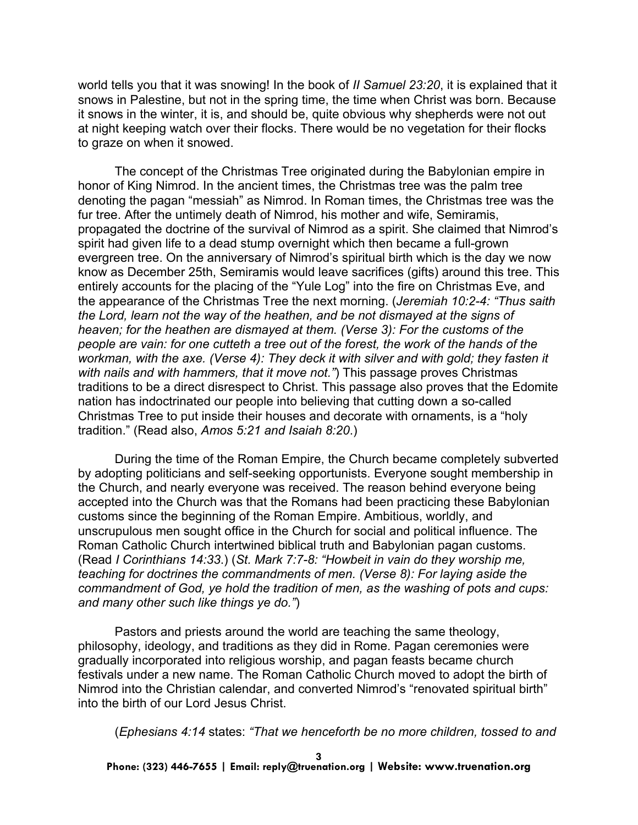world tells you that it was snowing! In the book of *II Samuel 23:20*, it is explained that it snows in Palestine, but not in the spring time, the time when Christ was born. Because it snows in the winter, it is, and should be, quite obvious why shepherds were not out at night keeping watch over their flocks. There would be no vegetation for their flocks to graze on when it snowed.

The concept of the Christmas Tree originated during the Babylonian empire in honor of King Nimrod. In the ancient times, the Christmas tree was the palm tree denoting the pagan "messiah" as Nimrod. In Roman times, the Christmas tree was the fur tree. After the untimely death of Nimrod, his mother and wife, Semiramis, propagated the doctrine of the survival of Nimrod as a spirit. She claimed that Nimrod's spirit had given life to a dead stump overnight which then became a full-grown evergreen tree. On the anniversary of Nimrod's spiritual birth which is the day we now know as December 25th, Semiramis would leave sacrifices (gifts) around this tree. This entirely accounts for the placing of the "Yule Log" into the fire on Christmas Eve, and the appearance of the Christmas Tree the next morning. (*Jeremiah 10:2-4: "Thus saith the Lord, learn not the way of the heathen, and be not dismayed at the signs of heaven; for the heathen are dismayed at them. (Verse 3): For the customs of the people are vain: for one cutteth a tree out of the forest, the work of the hands of the workman, with the axe. (Verse 4): They deck it with silver and with gold; they fasten it with nails and with hammers, that it move not."*) This passage proves Christmas traditions to be a direct disrespect to Christ. This passage also proves that the Edomite nation has indoctrinated our people into believing that cutting down a so-called Christmas Tree to put inside their houses and decorate with ornaments, is a "holy tradition." (Read also, *Amos 5:21 and Isaiah 8:20*.)

During the time of the Roman Empire, the Church became completely subverted by adopting politicians and self-seeking opportunists. Everyone sought membership in the Church, and nearly everyone was received. The reason behind everyone being accepted into the Church was that the Romans had been practicing these Babylonian customs since the beginning of the Roman Empire. Ambitious, worldly, and unscrupulous men sought office in the Church for social and political influence. The Roman Catholic Church intertwined biblical truth and Babylonian pagan customs. (Read *I Corinthians 14:33*.) (*St. Mark 7:7-8: "Howbeit in vain do they worship me, teaching for doctrines the commandments of men. (Verse 8): For laying aside the commandment of God, ye hold the tradition of men, as the washing of pots and cups: and many other such like things ye do."*)

Pastors and priests around the world are teaching the same theology, philosophy, ideology, and traditions as they did in Rome. Pagan ceremonies were gradually incorporated into religious worship, and pagan feasts became church festivals under a new name. The Roman Catholic Church moved to adopt the birth of Nimrod into the Christian calendar, and converted Nimrod's "renovated spiritual birth" into the birth of our Lord Jesus Christ.

(*Ephesians 4:14* states: *"That we henceforth be no more children, tossed to and*